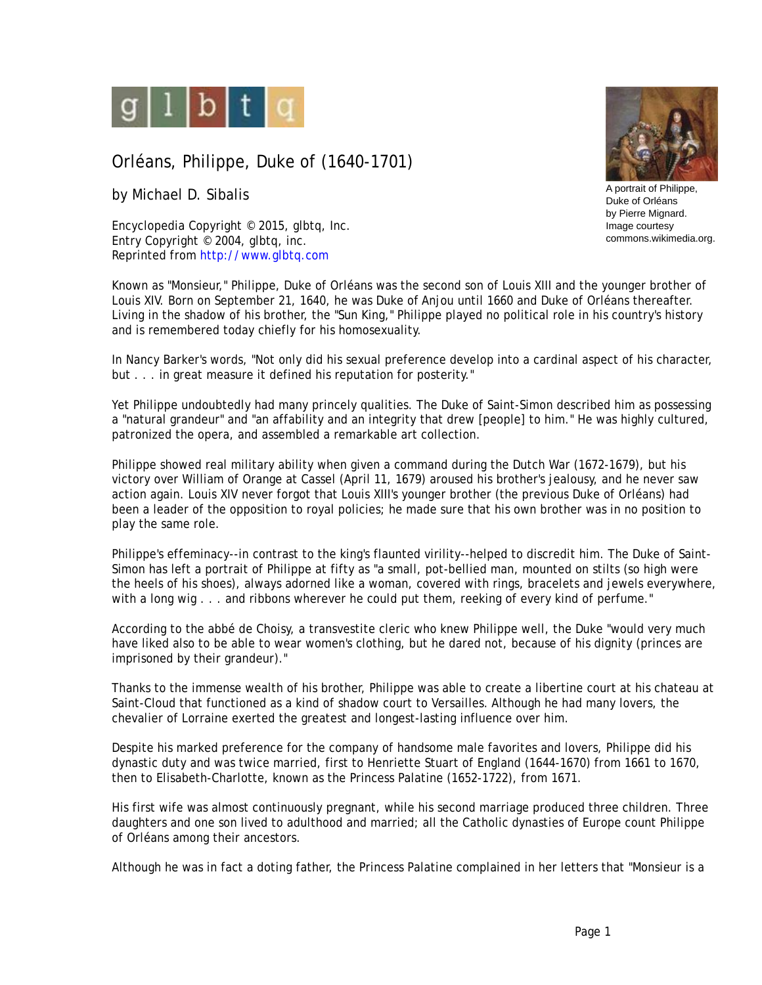

## Orléans, Philippe, Duke of (1640-1701)

by Michael D. Sibalis

Encyclopedia Copyright © 2015, glbtq, Inc. Entry Copyright © 2004, glbtq, inc. Reprinted from<http://www.glbtq.com>

Known as "Monsieur," Philippe, Duke of Orléans was the second son of Louis XIII and the younger brother of Louis XIV. Born on September 21, 1640, he was Duke of Anjou until 1660 and Duke of Orléans thereafter. Living in the shadow of his brother, the "Sun King," Philippe played no political role in his country's history and is remembered today chiefly for his homosexuality.

In Nancy Barker's words, "Not only did his sexual preference develop into a cardinal aspect of his character, but . . . in great measure it defined his reputation for posterity."

Yet Philippe undoubtedly had many princely qualities. The Duke of Saint-Simon described him as possessing <sup>a</sup>"natural grandeur" and "an affability and an integrity that drew [people] to him." He was highly cultured, patronized the opera, and assembled a remarkable art collection.

Philippe showed real military ability when given a command during the Dutch War (1672-1679), but his victory over William of Orange at Cassel (April 11, 1679) aroused his brother's jealousy, and he never saw action again. Louis XIV never forgot that Louis XIII's younger brother (the previous Duke of Orléans) had been a leader of the opposition to royal policies; he made sure that his own brother was in no position to play the same role.

Philippe's effeminacy--in contrast to the king's flaunted virility--helped to discredit him. The Duke of Saint-Simon has left a portrait of Philippe at fifty as "a small, pot-bellied man, mounted on stilts (so high were the heels of his shoes), always adorned like a woman, covered with rings, bracelets and jewels everywhere, with a long wig . . . and ribbons wherever he could put them, reeking of every kind of perfume."

According to the abbé de Choisy, a transvestite cleric who knew Philippe well, the Duke "would very much have liked also to be able to wear women's clothing, but he dared not, because of his dignity (princes are imprisoned by their grandeur)."

Thanks to the immense wealth of his brother, Philippe was able to create a libertine court at his chateau at Saint-Cloud that functioned as a kind of shadow court to Versailles. Although he had many lovers, the chevalier of Lorraine exerted the greatest and longest-lasting influence over him.

Despite his marked preference for the company of handsome male favorites and lovers, Philippe did his dynastic duty and was twice married, first to Henriette Stuart of England (1644-1670) from 1661 to 1670, then to Elisabeth-Charlotte, known as the Princess Palatine (1652-1722), from 1671.

His first wife was almost continuously pregnant, while his second marriage produced three children. Three daughters and one son lived to adulthood and married; all the Catholic dynasties of Europe count Philippe of Orléans among their ancestors.

Although he was in fact a doting father, the Princess Palatine complained in her letters that "Monsieur is a



Duke of Orléans by Pierre Mignard. Image courtesy commons.wikimedia.org.